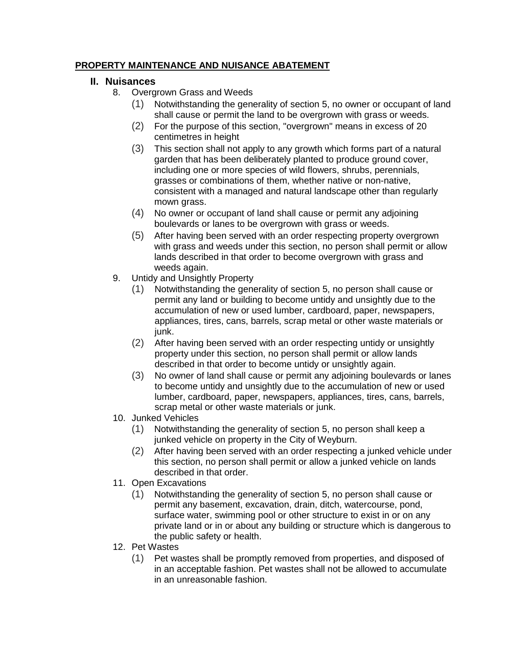## **PROPERTY MAINTENANCE AND NUISANCE ABATEMENT**

## **II. Nuisances**

- 8. Overgrown Grass and Weeds
	- (1) Notwithstanding the generality of section 5, no owner or occupant of land shall cause or permit the land to be overgrown with grass or weeds.
	- (2) For the purpose of this section, "overgrown" means in excess of 20 centimetres in height
	- (3) This section shall not apply to any growth which forms part of a natural garden that has been deliberately planted to produce ground cover, including one or more species of wild flowers, shrubs, perennials, grasses or combinations of them, whether native or non-native, consistent with a managed and natural landscape other than regularly mown grass.
	- (4) No owner or occupant of land shall cause or permit any adjoining boulevards or lanes to be overgrown with grass or weeds.
	- (5) After having been served with an order respecting property overgrown with grass and weeds under this section, no person shall permit or allow lands described in that order to become overgrown with grass and weeds again.
- 9. Untidy and Unsightly Property
	- (1) Notwithstanding the generality of section 5, no person shall cause or permit any land or building to become untidy and unsightly due to the accumulation of new or used lumber, cardboard, paper, newspapers, appliances, tires, cans, barrels, scrap metal or other waste materials or junk.
	- (2) After having been served with an order respecting untidy or unsightly property under this section, no person shall permit or allow lands described in that order to become untidy or unsightly again.
	- (3) No owner of land shall cause or permit any adjoining boulevards or lanes to become untidy and unsightly due to the accumulation of new or used lumber, cardboard, paper, newspapers, appliances, tires, cans, barrels, scrap metal or other waste materials or junk.
- 10. Junked Vehicles
	- (1) Notwithstanding the generality of section 5, no person shall keep a junked vehicle on property in the City of Weyburn.
	- (2) After having been served with an order respecting a junked vehicle under this section, no person shall permit or allow a junked vehicle on lands described in that order.
- 11. Open Excavations
	- (1) Notwithstanding the generality of section 5, no person shall cause or permit any basement, excavation, drain, ditch, watercourse, pond, surface water, swimming pool or other structure to exist in or on any private land or in or about any building or structure which is dangerous to the public safety or health.
- 12. Pet Wastes
	- (1) Pet wastes shall be promptly removed from properties, and disposed of in an acceptable fashion. Pet wastes shall not be allowed to accumulate in an unreasonable fashion.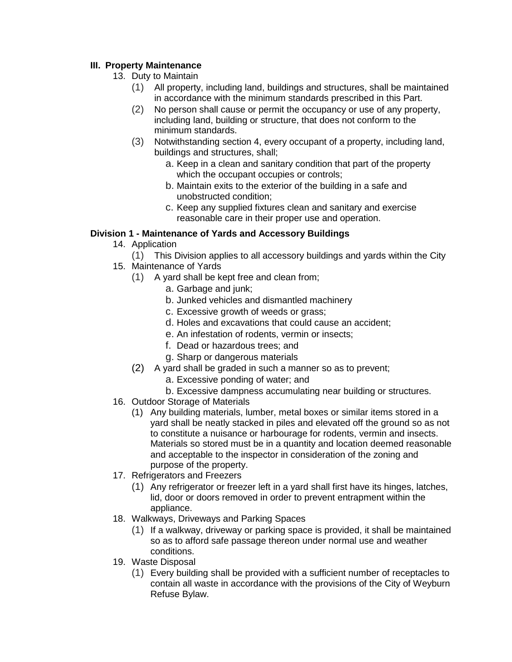## **III. Property Maintenance**

- 13. Duty to Maintain
	- (1) All property, including land, buildings and structures, shall be maintained in accordance with the minimum standards prescribed in this Part.
	- (2) No person shall cause or permit the occupancy or use of any property, including land, building or structure, that does not conform to the minimum standards.
	- (3) Notwithstanding section 4, every occupant of a property, including land, buildings and structures, shall;
		- a. Keep in a clean and sanitary condition that part of the property which the occupant occupies or controls;
		- b. Maintain exits to the exterior of the building in a safe and unobstructed condition;
		- c. Keep any supplied fixtures clean and sanitary and exercise reasonable care in their proper use and operation.

## **Division 1 - Maintenance of Yards and Accessory Buildings**

- 14. Application
	- (1) This Division applies to all accessory buildings and yards within the City
- 15. Maintenance of Yards
	- (1) A yard shall be kept free and clean from;
		- a. Garbage and junk;
		- b. Junked vehicles and dismantled machinery
		- c. Excessive growth of weeds or grass;
		- d. Holes and excavations that could cause an accident;
		- e. An infestation of rodents, vermin or insects;
		- f. Dead or hazardous trees; and
		- g. Sharp or dangerous materials
	- (2) A yard shall be graded in such a manner so as to prevent;
		- a. Excessive ponding of water; and
		- b. Excessive dampness accumulating near building or structures.
- 16. Outdoor Storage of Materials
	- (1) Any building materials, lumber, metal boxes or similar items stored in a yard shall be neatly stacked in piles and elevated off the ground so as not to constitute a nuisance or harbourage for rodents, vermin and insects. Materials so stored must be in a quantity and location deemed reasonable and acceptable to the inspector in consideration of the zoning and purpose of the property.
- 17. Refrigerators and Freezers
	- (1) Any refrigerator or freezer left in a yard shall first have its hinges, latches, lid, door or doors removed in order to prevent entrapment within the appliance.
- 18. Walkways, Driveways and Parking Spaces
	- (1) If a walkway, driveway or parking space is provided, it shall be maintained so as to afford safe passage thereon under normal use and weather conditions.
- 19. Waste Disposal
	- (1) Every building shall be provided with a sufficient number of receptacles to contain all waste in accordance with the provisions of the City of Weyburn Refuse Bylaw.